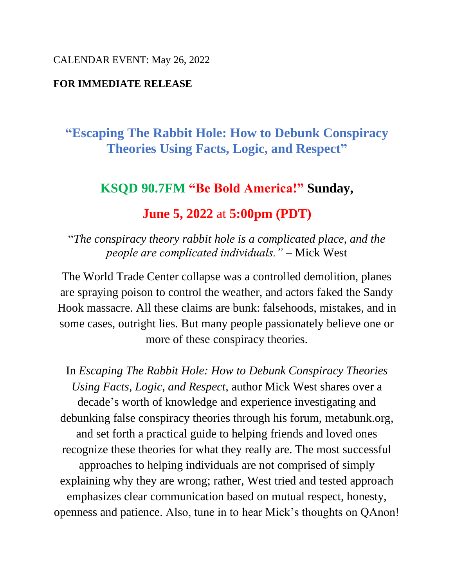#### CALENDAR EVENT: May 26, 2022

## **FOR IMMEDIATE RELEASE**

# **"Escaping The Rabbit Hole: How to Debunk Conspiracy Theories Using Facts, Logic, and Respect"**

## **KSQD 90.7FM "Be Bold America!" Sunday,**

## **June 5, 2022** at **5:00pm (PDT)**

"*The conspiracy theory rabbit hole is a complicated place, and the people are complicated individuals."* – Mick West

The World Trade Center collapse was a controlled demolition, planes are spraying poison to control the weather, and actors faked the Sandy Hook massacre. All these claims are bunk: falsehoods, mistakes, and in some cases, outright lies. But many people passionately believe one or more of these conspiracy theories.

In *Escaping The Rabbit Hole: How to Debunk Conspiracy Theories Using Facts, Logic, and Respect*, author Mick West shares over a decade's worth of knowledge and experience investigating and debunking false conspiracy theories through his forum, metabunk.org, and set forth a practical guide to helping friends and loved ones recognize these theories for what they really are. The most successful approaches to helping individuals are not comprised of simply explaining why they are wrong; rather, West tried and tested approach emphasizes clear communication based on mutual respect, honesty, openness and patience. Also, tune in to hear Mick's thoughts on QAnon!